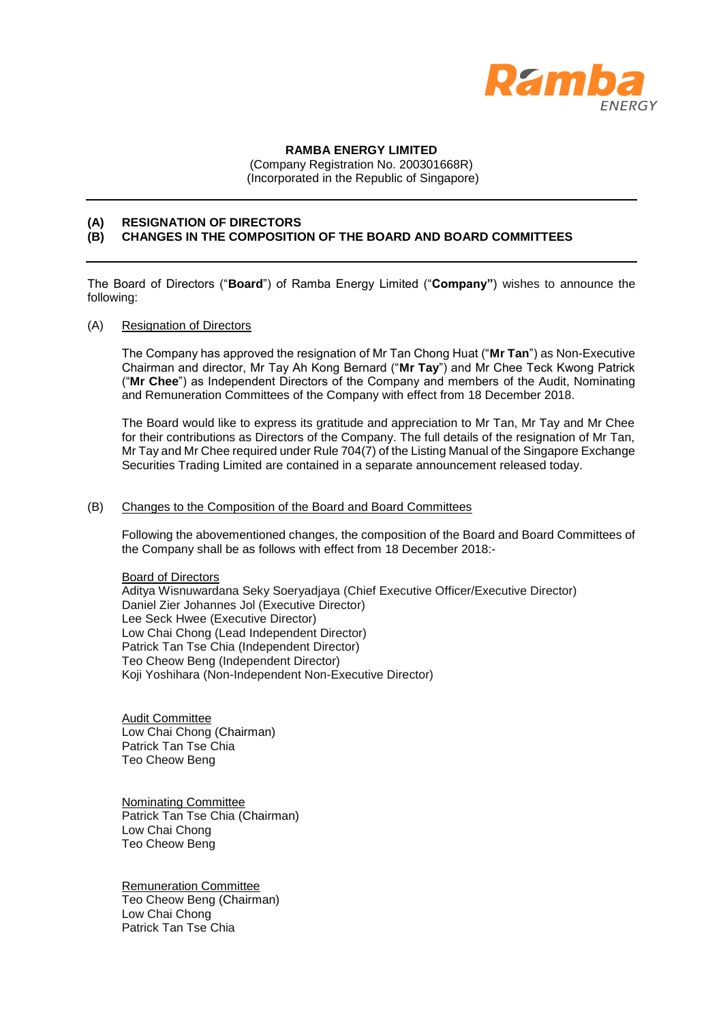

## **RAMBA ENERGY LIMITED**

(Company Registration No. 200301668R)

(Incorporated in the Republic of Singapore)

## **(A) RESIGNATION OF DIRECTORS**

## **(B) CHANGES IN THE COMPOSITION OF THE BOARD AND BOARD COMMITTEES**

The Board of Directors ("**Board**") of Ramba Energy Limited ("**Company"**) wishes to announce the following:

#### (A) Resignation of Directors

The Company has approved the resignation of Mr Tan Chong Huat ("**Mr Tan**") as Non-Executive Chairman and director, Mr Tay Ah Kong Bernard ("**Mr Tay**") and Mr Chee Teck Kwong Patrick ("**Mr Chee**") as Independent Directors of the Company and members of the Audit, Nominating and Remuneration Committees of the Company with effect from 18 December 2018.

The Board would like to express its gratitude and appreciation to Mr Tan, Mr Tay and Mr Chee for their contributions as Directors of the Company. The full details of the resignation of Mr Tan, Mr Tay and Mr Chee required under Rule 704(7) of the Listing Manual of the Singapore Exchange Securities Trading Limited are contained in a separate announcement released today.

## (B) Changes to the Composition of the Board and Board Committees

Following the abovementioned changes, the composition of the Board and Board Committees of the Company shall be as follows with effect from 18 December 2018:-

Board of Directors Aditya Wisnuwardana Seky Soeryadjaya (Chief Executive Officer/Executive Director) Daniel Zier Johannes Jol (Executive Director) Lee Seck Hwee (Executive Director) Low Chai Chong (Lead Independent Director) Patrick Tan Tse Chia (Independent Director) Teo Cheow Beng (Independent Director) Koji Yoshihara (Non-Independent Non-Executive Director)

Audit Committee Low Chai Chong (Chairman) Patrick Tan Tse Chia Teo Cheow Beng

Nominating Committee Patrick Tan Tse Chia (Chairman) Low Chai Chong Teo Cheow Beng

Remuneration Committee Teo Cheow Beng (Chairman) Low Chai Chong Patrick Tan Tse Chia